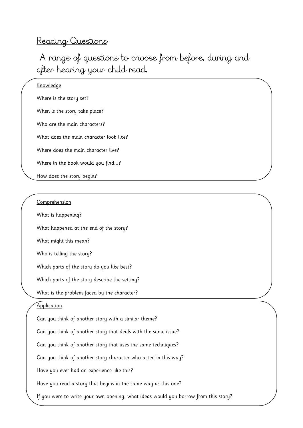# Reading Questions

A range of questions to choose from before, during and after hearing your child read.

## Knowledge

Where is the story set?

When is the story take place?

Who are the main characters?

What does the main character look like?

Where does the main character live?

Where in the book would you find...?

How does the story begin?

# Comprehension

What is happening?

What happened at the end of the story?

What might this mean?

Who is telling the story?

Which parts of the story do you like best?

Which parts of the story describe the setting?

What is the problem faced by the character?

# **Application**

Can you think of another story with a similar theme? Can you think of another story that deals with the same issue? Can you think of another story that uses the same techniques? Can you think of another story character who acted in this way? Have you ever had an experience like this? Have you read a story that begins in the same way as this one? If you were to write your own opening, what ideas would you borrow from this story?